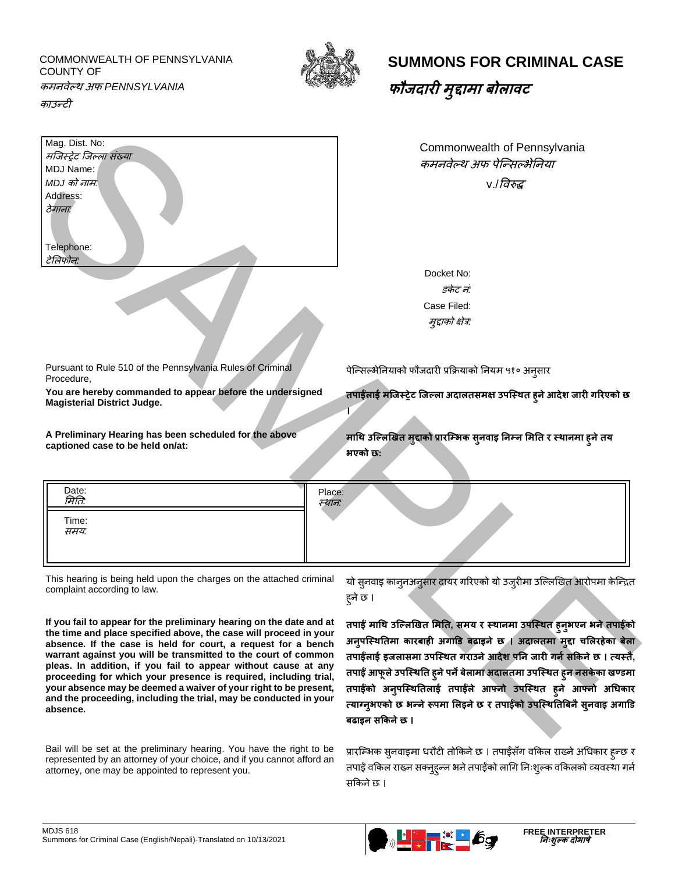COMMONWEALTH OF PENNSYLVANIA COUNTY OF



## **SUMMONS FOR CRIMINAL CASE**

**फौजदारी <sup>म</sup> ुद्दामा बोलावट**

कमनवेल्थ अफ *PENNSYLVANIA* 

काउन्टी

| मजिस्ट्रेट जिल्ला संख्या<br>MDJ Name:<br>MDJ को नाम:<br>Address:<br>ठेगानाः<br>Telephone:<br>टेलिफोन:                                                                                         | Commonwealth of Pennsylvania<br>कमनवेल्थ अफ पेन्सिल्भेनिया<br>v./ <i>विरुद्ध</i>                                                                         |
|-----------------------------------------------------------------------------------------------------------------------------------------------------------------------------------------------|----------------------------------------------------------------------------------------------------------------------------------------------------------|
|                                                                                                                                                                                               | Docket No:<br>डकेट नं:<br>Case Filed:<br>मुद्दाको क्षेत्र:                                                                                               |
| Pursuant to Rule 510 of the Pennsylvania Rules of Criminal<br>Procedure,                                                                                                                      | पेन्सिल्भेनियाको फौजदारी प्रक्रियाको नियम ५१० अन्सार                                                                                                     |
| You are hereby commanded to appear before the undersigned<br><b>Magisterial District Judge.</b><br>A Preliminary Hearing has been scheduled for the above<br>captioned case to be held on/at: | तपाईलाई मजिस्ट्रेट जिल्ला अदालतसमक्ष उपस्थित हुने आदेश जारी गरिएको छ<br>माथि उल्लिखित मुद्दाको प्रारम्भिक सुनवाइ निम्न मिति र स्थानमा हुने तय<br>भएको छ: |
|                                                                                                                                                                                               |                                                                                                                                                          |
| Date:<br>Place:<br>मिति:<br>स्थान:<br>Time:<br>समय:                                                                                                                                           |                                                                                                                                                          |
| This hearing is being held upon the charges on the attached criminal<br>complaint according to law.                                                                                           | यो सुनवाइ कानुनअनुसार दायर गरिएको यो उजुरीमा उल्लिखित आरोपमा केन्द्रित<br>हने छ ।                                                                        |

| Date:<br><i>मिति:</i> | Place:<br>स्थान: |
|-----------------------|------------------|
| Time:<br><i>समय:</i>  |                  |
|                       |                  |

Bail will be set at the preliminary hearing. You have the right to be represented by an attorney of your choice, and if you cannot afford an attorney, one may be appointed to represent you.

प्रारम्भिक सुनवाइमा धरौटी तोकिने छ । तपाईंसँग वकिल राख्ने अधिकार हुन्छ र तपाईं वकिल राख्न सक्नुहुन्न भने तपाईंको लागि निःशुल्क वकिलको व्यवस्था गर्न िक्रकनेछ ।